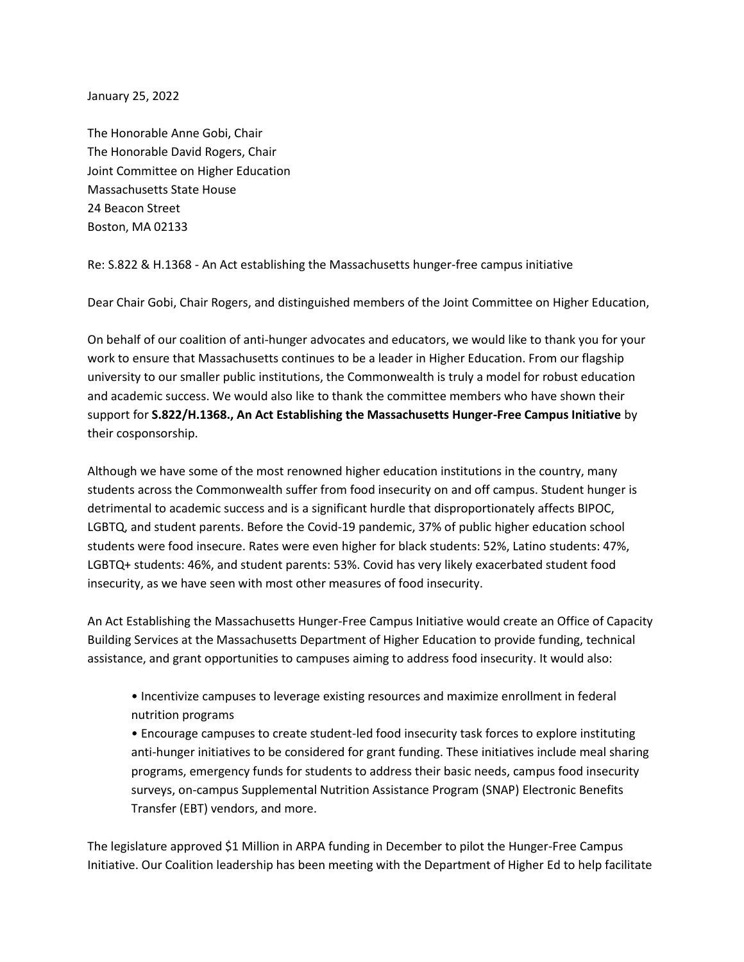January 25, 2022

The Honorable Anne Gobi, Chair The Honorable David Rogers, Chair Joint Committee on Higher Education Massachusetts State House 24 Beacon Street Boston, MA 02133

Re: S.822 & H.1368 - An Act establishing the Massachusetts hunger-free campus initiative

Dear Chair Gobi, Chair Rogers, and distinguished members of the Joint Committee on Higher Education,

On behalf of our coalition of anti-hunger advocates and educators, we would like to thank you for your work to ensure that Massachusetts continues to be a leader in Higher Education. From our flagship university to our smaller public institutions, the Commonwealth is truly a model for robust education and academic success. We would also like to thank the committee members who have shown their support for **S.822/H.1368., An Act Establishing the Massachusetts Hunger-Free Campus Initiative** by their cosponsorship.

Although we have some of the most renowned higher education institutions in the country, many students across the Commonwealth suffer from food insecurity on and off campus. Student hunger is detrimental to academic success and is a significant hurdle that disproportionately affects BIPOC, LGBTQ, and student parents. Before the Covid-19 pandemic, 37% of public higher education school students were food insecure. Rates were even higher for black students: 52%, Latino students: 47%, LGBTQ+ students: 46%, and student parents: 53%. Covid has very likely exacerbated student food insecurity, as we have seen with most other measures of food insecurity.

An Act Establishing the Massachusetts Hunger-Free Campus Initiative would create an Office of Capacity Building Services at the Massachusetts Department of Higher Education to provide funding, technical assistance, and grant opportunities to campuses aiming to address food insecurity. It would also:

• Incentivize campuses to leverage existing resources and maximize enrollment in federal nutrition programs

• Encourage campuses to create student-led food insecurity task forces to explore instituting anti-hunger initiatives to be considered for grant funding. These initiatives include meal sharing programs, emergency funds for students to address their basic needs, campus food insecurity surveys, on-campus Supplemental Nutrition Assistance Program (SNAP) Electronic Benefits Transfer (EBT) vendors, and more.

The legislature approved \$1 Million in ARPA funding in December to pilot the Hunger-Free Campus Initiative. Our Coalition leadership has been meeting with the Department of Higher Ed to help facilitate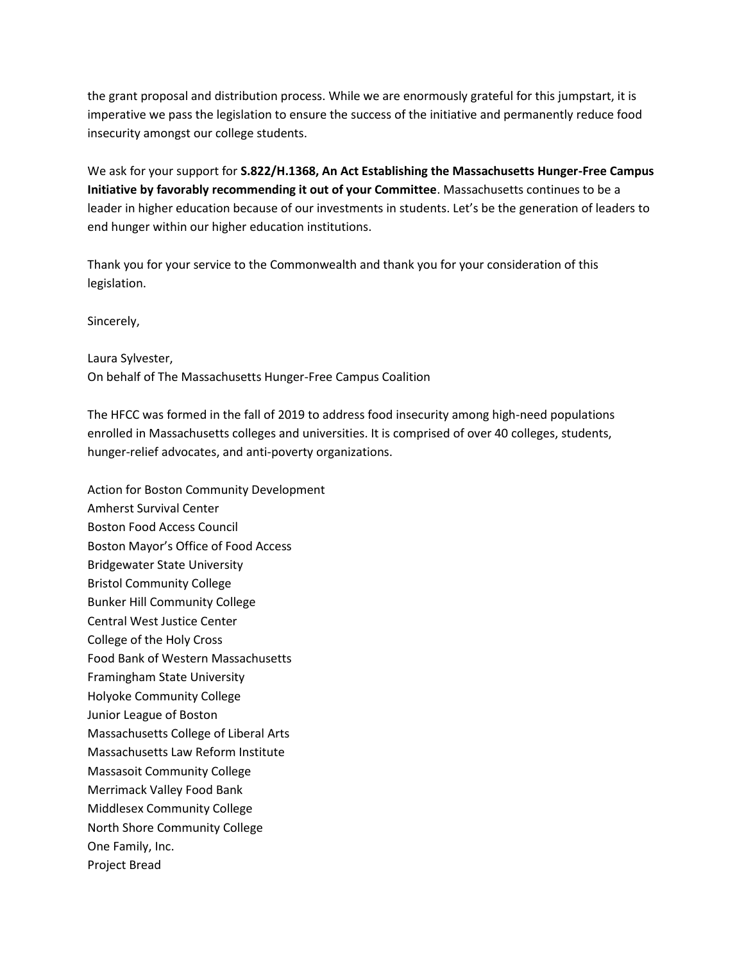the grant proposal and distribution process. While we are enormously grateful for this jumpstart, it is imperative we pass the legislation to ensure the success of the initiative and permanently reduce food insecurity amongst our college students.

We ask for your support for **S.822/H.1368, An Act Establishing the Massachusetts Hunger-Free Campus Initiative by favorably recommending it out of your Committee**. Massachusetts continues to be a leader in higher education because of our investments in students. Let's be the generation of leaders to end hunger within our higher education institutions.

Thank you for your service to the Commonwealth and thank you for your consideration of this legislation.

Sincerely,

Laura Sylvester, On behalf of The Massachusetts Hunger-Free Campus Coalition

The HFCC was formed in the fall of 2019 to address food insecurity among high-need populations enrolled in Massachusetts colleges and universities. It is comprised of over 40 colleges, students, hunger-relief advocates, and anti-poverty organizations.

Action for Boston Community Development Amherst Survival Center Boston Food Access Council Boston Mayor's Office of Food Access Bridgewater State University Bristol Community College Bunker Hill Community College Central West Justice Center College of the Holy Cross Food Bank of Western Massachusetts Framingham State University Holyoke Community College Junior League of Boston Massachusetts College of Liberal Arts Massachusetts Law Reform Institute Massasoit Community College Merrimack Valley Food Bank Middlesex Community College North Shore Community College One Family, Inc. Project Bread